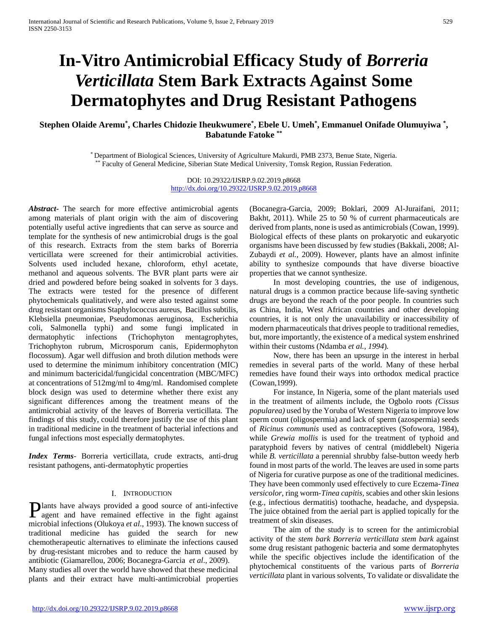# **In-Vitro Antimicrobial Efficacy Study of** *Borreria Verticillata* **Stem Bark Extracts Against Some Dermatophytes and Drug Resistant Pathogens**

# **Stephen Olaide Aremu\* , Charles Chidozie Iheukwumere\* , Ebele U. Umeh\* , Emmanuel Onifade Olumuyiwa \* , Babatunde Fatoke \*\***

\* Department of Biological Sciences, University of Agriculture Makurdi, PMB 2373, Benue State, Nigeria. \* Faculty of General Medicine, Siberian State Medical University, Tomsk Region, Russian Federation.

> DOI: 10.29322/IJSRP.9.02.2019.p8668 <http://dx.doi.org/10.29322/IJSRP.9.02.2019.p8668>

*Abstract***-** The search for more effective antimicrobial agents among materials of plant origin with the aim of discovering potentially useful active ingredients that can serve as source and template for the synthesis of new antimicrobial drugs is the goal of this research. Extracts from the stem barks of Borerria verticillata were screened for their antimicrobial activities. Solvents used included hexane, chloroform, ethyl acetate, methanol and aqueous solvents. The BVR plant parts were air dried and powdered before being soaked in solvents for 3 days. The extracts were tested for the presence of different phytochemicals qualitatively, and were also tested against some drug resistant organisms Staphylococcus aureus, Bacillus subtilis, Klebsiella pneumoniae, Pseudomonas aeruginosa, Escherichia coli, Salmonella typhi) and some fungi implicated in dermatophytic infections (Trichophyton mentagrophytes, Trichophyton rubrum, Microsporum canis, Epidermophyton flocossum). Agar well diffusion and broth dilution methods were used to determine the minimum inhibitory concentration (MIC) and minimum bactericidal/fungicidal concentration (MBC/MFC) at concentrations of 512mg/ml to 4mg/ml. Randomised complete block design was used to determine whether there exist any significant differences among the treatment means of the antimicrobial activity of the leaves of Borreria verticillata. The findings of this study, could therefore justify the use of this plant in traditional medicine in the treatment of bacterial infections and fungal infections most especially dermatophytes.

*Index Terms*- Borreria verticillata, crude extracts, anti-drug resistant pathogens, anti-dermatophytic properties

# I. INTRODUCTION

lants have always provided a good source of anti-infective **Plants have always provided a good source of anti-infective** agent and have remained effective in the fight against microbial infections (Olukoya *et al*., 1993). The known success of traditional medicine has guided the search for new chemotherapeutic alternatives to eliminate the infections caused by drug-resistant microbes and to reduce the harm caused by antibiotic (Giamarellou, 2006; Bocanegra-Garcia *et al*., 2009).

Many studies all over the world have showed that these medicinal plants and their extract have multi-antimicrobial properties (Bocanegra-Garcia, 2009; Boklari, 2009 Al-Juraifani, 2011; Bakht, 2011). While 25 to 50 % of current pharmaceuticals are derived from plants, none is used as antimicrobials (Cowan, 1999). Biological effects of these plants on prokaryotic and eukaryotic organisms have been discussed by few studies (Bakkali, 2008; Al-Zubaydi *et al.,* 2009). However, plants have an almost infinite ability to synthesize compounds that have diverse bioactive properties that we cannot synthesize.

 In most developing countries, the use of indigenous, natural drugs is a common practice because life-saving synthetic drugs are beyond the reach of the poor people. In countries such as China, India, West African countries and other developing countries, it is not only the unavailability or inaccessibility of modern pharmaceuticals that drives people to traditional remedies, but, more importantly, the existence of a medical system enshrined within their customs (Ndamba *et al., 1994*)*.*

 Now, there has been an upsurge in the interest in herbal remedies in several parts of the world. Many of these herbal remedies have found their ways into orthodox medical practice (Cowan,1999).

 For instance, In Nigeria, some of the plant materials used in the treatment of ailments include, the Ogbolo roots *(Cissus popularea)* used by the Yoruba of Western Nigeria to improve low sperm count (oligospermia) and lack of sperm (azospermia) seeds of *Ricinus communis* used as contraceptives (Sofowora, 1984), while *Grewia mollis* is used for the treatment of typhoid and paratyphoid fevers by natives of central (middlebelt) Nigeria while *B. verticillata* a perennial shrubby false-button weedy herb found in most parts of the world. The leaves are used in some parts of Nigeria for curative purpose as one of the traditional medicines. They have been commonly used effectively to cure Eczema-*Tinea versicolor*, ring worm-*Tinea capitis,* scabies and other skin lesions (e.g., infectious dermatitis) toothache, headache, and dyspepsia. The juice obtained from the aerial part is applied topically for the treatment of skin diseases.

 The aim of the study is to screen for the antimicrobial activity of the *stem bark Borreria verticillata stem bark* against some drug resistant pathogenic bacteria and some dermatophytes while the specific objectives include the identification of the phytochemical constituents of the various parts of *Borreria verticillata* plant in various solvents, To validate or disvalidate the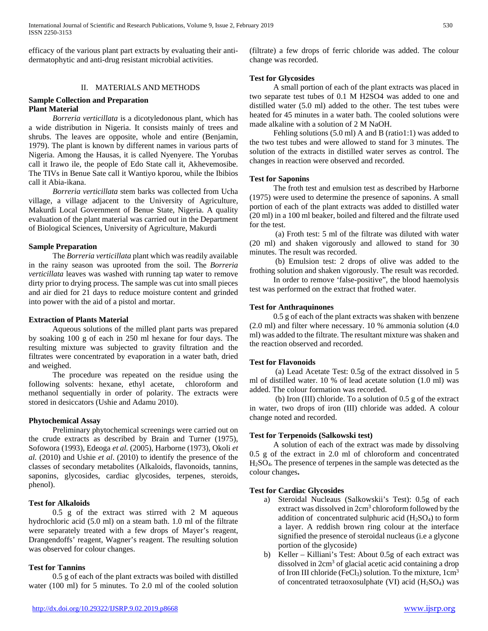efficacy of the various plant part extracts by evaluating their antidermatophytic and anti-drug resistant microbial activities.

# II. MATERIALS AND METHODS

## **Sample Collection and Preparation Plant Material**

 *Borreria verticillata* is a dicotyledonous plant, which has a wide distribution in Nigeria. It consists mainly of trees and shrubs. The leaves are opposite, whole and entire (Benjamin, 1979). The plant is known by different names in various parts of Nigeria. Among the Hausas, it is called Nyenyere. The Yorubas call it Irawo ile, the people of Edo State call it, Akhevemosibe. The TIVs in Benue Sate call it Wantiyo kporou, while the Ibibios call it Abia-ikana.

 *Borreria verticillata* stem barks was collected from Ucha village, a village adjacent to the University of Agriculture, Makurdi Local Government of Benue State, Nigeria. A quality evaluation of the plant material was carried out in the Department of Biological Sciences, University of Agriculture, Makurdi

# **Sample Preparation**

 The *Borreria verticillata* plant which was readily available in the rainy season was uprooted from the soil. The *Borreria verticillata* leaves was washed with running tap water to remove dirty prior to drying process. The sample was cut into small pieces and air died for 21 days to reduce moisture content and grinded into power with the aid of a pistol and mortar.

# **Extraction of Plants Material**

 Aqueous solutions of the milled plant parts was prepared by soaking 100 g of each in 250 ml hexane for four days. The resulting mixture was subjected to gravity filtration and the filtrates were concentrated by evaporation in a water bath, dried and weighed.

 The procedure was repeated on the residue using the following solvents: hexane, ethyl acetate, chloroform and methanol sequentially in order of polarity. The extracts were stored in desiccators (Ushie and Adamu 2010).

# **Phytochemical Assay**

 Preliminary phytochemical screenings were carried out on the crude extracts as described by Brain and Turner (1975), Sofowora (1993), Edeoga *et al.* (2005), Harborne (1973), Okoli *et al.* (2010) and Ushie *et al*. (2010) to identify the presence of the classes of secondary metabolites (Alkaloids, flavonoids, tannins, saponins, glycosides, cardiac glycosides, terpenes, steroids, phenol).

# **Test for Alkaloids**

 0.5 g of the extract was stirred with 2 M aqueous hydrochloric acid (5.0 ml) on a steam bath. 1.0 ml of the filtrate were separately treated with a few drops of Mayer's reagent, Drangendoffs' reagent, Wagner's reagent. The resulting solution was observed for colour changes.

# **Test for Tannins**

 0.5 g of each of the plant extracts was boiled with distilled water (100 ml) for 5 minutes. To 2.0 ml of the cooled solution

<http://dx.doi.org/10.29322/IJSRP.9.02.2019.p8668> [www.ijsrp.org](http://ijsrp.org/)

(filtrate) a few drops of ferric chloride was added. The colour change was recorded.

# **Test for Glycosides**

 A small portion of each of the plant extracts was placed in two separate test tubes of 0.1 M H2SO4 was added to one and distilled water (5.0 ml) added to the other. The test tubes were heated for 45 minutes in a water bath. The cooled solutions were made alkaline with a solution of 2 M NaOH.

 Fehling solutions (5.0 ml) A and B (ratio1:1) was added to the two test tubes and were allowed to stand for 3 minutes. The solution of the extracts in distilled water serves as control. The changes in reaction were observed and recorded.

## **Test for Saponins**

 The froth test and emulsion test as described by Harborne (1975) were used to determine the presence of saponins. A small portion of each of the plant extracts was added to distilled water (20 ml) in a 100 ml beaker, boiled and filtered and the filtrate used for the test.

 (a) Froth test: 5 ml of the filtrate was diluted with water (20 ml) and shaken vigorously and allowed to stand for 30 minutes. The result was recorded.

 (b) Emulsion test: 2 drops of olive was added to the frothing solution and shaken vigorously. The result was recorded.

 In order to remove 'false-positive", the blood haemolysis test was performed on the extract that frothed water.

# **Test for Anthraquinones**

 0.5 g of each of the plant extracts was shaken with benzene (2.0 ml) and filter where necessary. 10 % ammonia solution (4.0 ml) was added to the filtrate. The resultant mixture was shaken and the reaction observed and recorded.

#### **Test for Flavonoids**

 (a) Lead Acetate Test: 0.5g of the extract dissolved in 5 ml of distilled water. 10 % of lead acetate solution (1.0 ml) was added. The colour formation was recorded.

 (b) Iron (III) chloride. To a solution of 0.5 g of the extract in water, two drops of iron (III) chloride was added. A colour change noted and recorded.

# **Test for Terpenoids (Salkowski test)**

 A solution of each of the extract was made by dissolving 0.5 g of the extract in 2.0 ml of chloroform and concentrated H2SO4. The presence of terpenes in the sample was detected as the colour changes**.**

# **Test for Cardiac Glycosides**

- a) Steroidal Nucleaus (Salkowskii's Test): 0.5g of each extract was dissolved in 2cm3 chloroform followed by the addition of concentrated sulphuric acid  $(H<sub>2</sub>SO<sub>4</sub>)$  to form a layer. A reddish brown ring colour at the interface signified the presence of steroidal nucleaus (i.e a glycone portion of the glycoside)
- b) Keller Killiani's Test: About 0.5g of each extract was dissolved in 2cm<sup>3</sup> of glacial acetic acid containing a drop of Iron III chloride (FeCl<sub>3</sub>) solution. To the mixture,  $1 \text{ cm}^3$ of concentrated tetraoxosulphate (VI) acid (H2SO4) was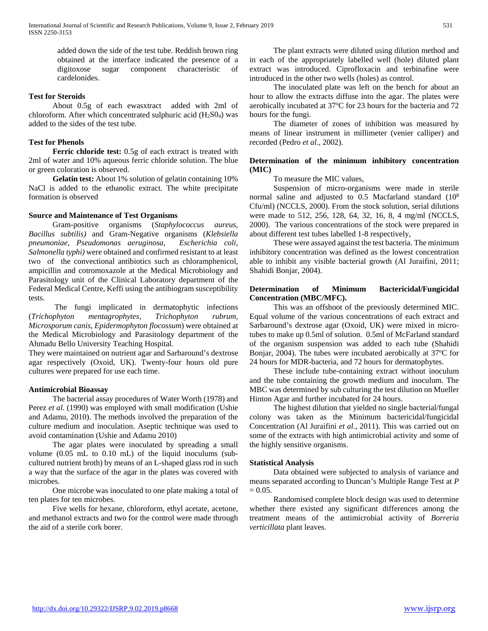added down the side of the test tube. Reddish brown ring obtained at the interface indicated the presence of a digitoxose sugar component characteristic of cardelonides.

# **Test for Steroids**

 About 0.5g of each ewasxtract added with 2ml of chloroform. After which concentrated sulphuric acid  $(H_2SO_4)$  was added to the sides of the test tube.

# **Test for Phenols**

 **Ferric chloride test:** 0.5g of each extract is treated with 2ml of water and 10% aqueous ferric chloride solution. The blue or green coloration is observed.

 **Gelatin test:** About 1% solution of gelatin containing 10% NaCl is added to the ethanolic extract. The white precipitate formation is observed

# **Source and Maintenance of Test Organisms**

 Gram-positive organisms (*Staphylococcus aureus, Bacillus subtilis)* and Gram-Negative organisms (*Klebsiella pneumoniae*, *Pseudomonas aeruginosa, Escherichia coli*, *Salmonella typhi)* were obtained and confirmed resistant to at least two of the convectional antibiotics such as chloramphenicol, ampicillin and cotromoxazole at the Medical Microbiology and Parasitology unit of the Clinical Laboratory department of the Federal Medical Centre, Keffi using the antibiogram susceptibility tests.

 The fungi implicated in dermatophytic infections (*Trichophyton mentagrophytes, Trichophyton rubrum, Microsporum canis, Epidermophyton flocossum*) were obtained at the Medical Microbiology and Parasitology department of the Ahmadu Bello University Teaching Hospital.

They were maintained on nutrient agar and Sarbaround's dextrose agar respectively (Oxoid, UK). Twenty-four hours old pure cultures were prepared for use each time.

# **Antimicrobial Bioassay**

 The bacterial assay procedures of Water Worth (1978) and Perez *et al*. (1990) was employed with small modification (Ushie and Adamu, 2010). The methods involved the preparation of the culture medium and inoculation. Aseptic technique was used to avoid contamination (Ushie and Adamu 2010)

 The agar plates were inoculated by spreading a small volume (0.05 mL to 0.10 mL) of the liquid inoculums (subcultured nutrient broth) by means of an L-shaped glass rod in such a way that the surface of the agar in the plates was covered with microbes.

 One microbe was inoculated to one plate making a total of ten plates for ten microbes.

 Five wells for hexane, chloroform, ethyl acetate, acetone, and methanol extracts and two for the control were made through the aid of a sterile cork borer.

 The plant extracts were diluted using dilution method and in each of the appropriately labelled well (hole) diluted plant extract was introduced. Ciprofloxacin and terbinafine were introduced in the other two wells (holes) as control.

 The inoculated plate was left on the bench for about an hour to allow the extracts diffuse into the agar. The plates were aerobically incubated at 37°C for 23 hours for the bacteria and 72 hours for the fungi.

 The diameter of zones of inhibition was measured by means of linear instrument in millimeter (venier calliper) and recorded (Pedro *et al.,* 2002).

# **Determination of the minimum inhibitory concentration (MIC)**

To measure the MIC values,

 Suspension of micro-organisms were made in sterile normal saline and adjusted to 0.5 Macfarland standard (108 Cfu/ml) (NCCLS, 2000). From the stock solution, serial dilutions were made to 512, 256, 128, 64, 32, 16, 8, 4 mg/ml (NCCLS, 2000). The various concentrations of the stock were prepared in about different test tubes labelled 1-8 respectively,

 These were assayed against the test bacteria. The minimum inhibitory concentration was defined as the lowest concentration able to inhibit any visible bacterial growth (Al Juraifini, 2011; Shahidi Bonjar, 2004).

# **Determination of Minimum Bactericidal/Fungicidal Concentration (MBC/MFC).**

 This was an offshoot of the previously determined MIC. Equal volume of the various concentrations of each extract and Sarbaround's dextrose agar (Oxoid, UK) were mixed in microtubes to make up 0.5ml of solution. 0.5ml of McFarland standard of the organism suspension was added to each tube (Shahidi Bonjar, 2004). The tubes were incubated aerobically at 37°C for 24 hours for MDR-bacteria, and 72 hours for dermatophytes.

 These include tube-containing extract without inoculum and the tube containing the growth medium and inoculum. The MBC was determined by sub culturing the test dilution on Mueller Hinton Agar and further incubated for 24 hours.

 The highest dilution that yielded no single bacterial/fungal colony was taken as the Minimum bactericidal/fungicidal Concentration (Al Juraifini *et al.,* 2011). This was carried out on some of the extracts with high antimicrobial activity and some of the highly sensitive organisms.

# **Statistical Analysis**

 Data obtained were subjected to analysis of variance and means separated according to Duncan's Multiple Range Test at *P*   $= 0.05.$ 

 Randomised complete block design was used to determine whether there existed any significant differences among the treatment means of the antimicrobial activity of *Borreria verticillata* plant leaves.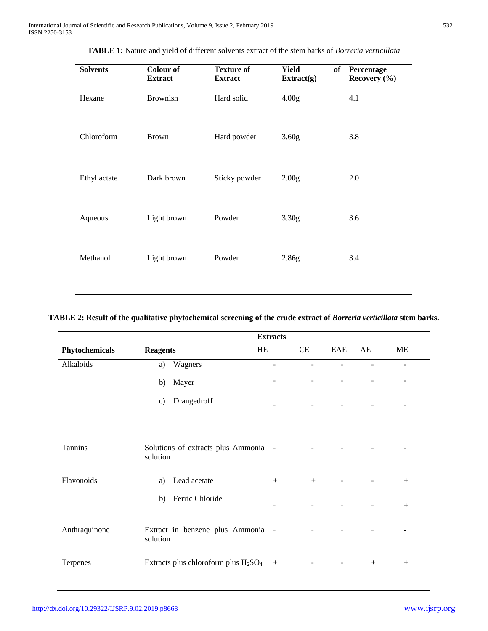| <b>Solvents</b> | <b>Colour of</b><br><b>Extract</b> | <b>Texture of</b><br><b>Extract</b> | <b>Yield</b><br>of<br>Extract(g) | Percentage<br>Recovery (%) |
|-----------------|------------------------------------|-------------------------------------|----------------------------------|----------------------------|
| Hexane          | <b>Brownish</b>                    | Hard solid                          | 4.00 <sub>g</sub>                | 4.1                        |
| Chloroform      | <b>Brown</b>                       | Hard powder                         | 3.60 <sub>g</sub>                | 3.8                        |
| Ethyl actate    | Dark brown                         | Sticky powder                       | 2.00 <sub>g</sub>                | 2.0                        |
| Aqueous         | Light brown                        | Powder                              | 3.30 <sub>g</sub>                | 3.6                        |
| Methanol        | Light brown                        | Powder                              | 2.86g                            | 3.4                        |

**TABLE 1:** Nature and yield of different solvents extract of the stem barks of *Borreria verticillata*

# **TABLE 2: Result of the qualitative phytochemical screening of the crude extract of** *Borreria verticillata* **stem barks.**

|                |                                                              | <b>Extracts</b>          |                |                          |                |     |
|----------------|--------------------------------------------------------------|--------------------------|----------------|--------------------------|----------------|-----|
| Phytochemicals | <b>Reagents</b>                                              | HE                       | CE             | EAE                      | AE             | ME  |
| Alkaloids      | Wagners<br>a)                                                | $\overline{\phantom{a}}$ | $\blacksquare$ | $\overline{\phantom{a}}$ | $\blacksquare$ | ٠   |
|                | Mayer<br>b)                                                  |                          |                |                          |                |     |
|                | Drangedroff<br>c)                                            |                          | $\sim$         | $\blacksquare$           |                | ٠   |
|                |                                                              |                          |                |                          |                |     |
| Tannins        | Solutions of extracts plus Ammonia -<br>solution             |                          |                |                          |                |     |
| Flavonoids     | Lead acetate<br>a)                                           | $+$                      | $+$            |                          |                | $+$ |
|                | Ferric Chloride<br>b)                                        |                          |                |                          |                | $+$ |
| Anthraquinone  | Extract in benzene plus Ammonia -<br>solution                |                          |                |                          |                |     |
| Terpenes       | Extracts plus chloroform plus H <sub>2</sub> SO <sub>4</sub> | $^{+}$                   |                |                          | $^{+}$         | $+$ |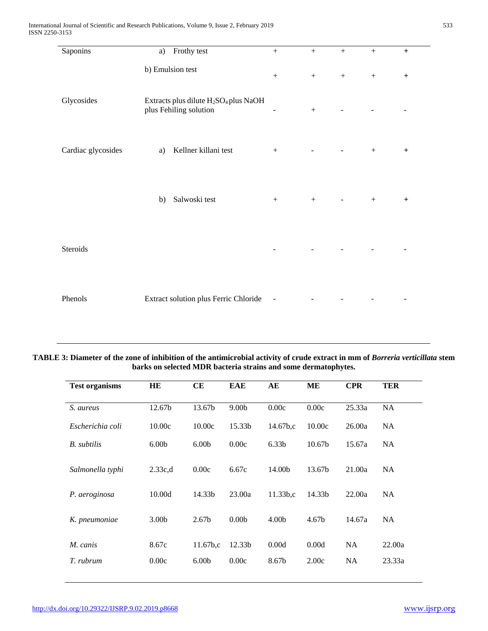| Saponins           | Frothy test<br>a)                                                                       | $^{+}$                   | $+$              | $+$ | $^{+}$ | $+$       |
|--------------------|-----------------------------------------------------------------------------------------|--------------------------|------------------|-----|--------|-----------|
|                    | b) Emulsion test                                                                        | $^{+}$                   | $\boldsymbol{+}$ | $+$ | $^{+}$ | $+$       |
| Glycosides         | Extracts plus dilute H <sub>2</sub> SO <sub>4</sub> plus NaOH<br>plus Fehiling solution | $\overline{\phantom{a}}$ | $\boldsymbol{+}$ |     |        |           |
| Cardiac glycosides | Kellner killani test<br>a)                                                              | $^{+}$                   |                  |     | $^{+}$ | $\ddot{}$ |
|                    | Salwoski test<br>b)                                                                     | $+$                      | $+$              | -   | $^{+}$ | $\ddot{}$ |
| Steroids           |                                                                                         |                          |                  |     |        |           |
| Phenols            | Extract solution plus Ferric Chloride                                                   | $\overline{\phantom{a}}$ |                  |     |        |           |

# **TABLE 3: Diameter of the zone of inhibition of the antimicrobial activity of crude extract in mm of** *Borreria verticillata* **stem barks on selected MDR bacteria strains and some dermatophytes.**

| <b>Test organisms</b> | HE                | CЕ                   | <b>EAE</b>        | AE                   | MЕ                 | <b>CPR</b> | <b>TER</b> |
|-----------------------|-------------------|----------------------|-------------------|----------------------|--------------------|------------|------------|
| S. aureus             | 12.67b            | 13.67b               | 9.00 <sub>b</sub> | 0.00c                | 0.00c              | 25.33a     | <b>NA</b>  |
| Escherichia coli      | 10.00c            | 10.00c               | 15.33b            | 14.67b,c             | 10.00c             | 26.00a     | NA         |
| <b>B.</b> subtilis    | 6.00 <sub>b</sub> | 6.00 <sub>b</sub>    | 0.00c             | 6.33 <sub>b</sub>    | 10.67 <sub>b</sub> | 15.67a     | NA         |
| Salmonella typhi      | 2.33c,d           | 0.00c                | 6.67c             | 14.00b               | 13.67b             | 21.00a     | <b>NA</b>  |
| P. aeroginosa         | 10.00d            | 14.33b               | 23.00a            | 11.33 <sub>b,c</sub> | 14.33b             | 22.00a     | <b>NA</b>  |
| K. pneumoniae         | 3.00 <sub>b</sub> | 2.67 <sub>b</sub>    | 0.00 <sub>b</sub> | 4.00 <sub>b</sub>    | 4.67 <sub>b</sub>  | 14.67a     | <b>NA</b>  |
| M. canis              | 8.67c             | 11.67 <sub>b,c</sub> | 12.33b            | 0.00d                | 0.00d              | <b>NA</b>  | 22.00a     |
| T. rubrum             | 0.00c             | 6.00 <sub>b</sub>    | 0.00c             | 8.67b                | 2.00c              | <b>NA</b>  | 23.33a     |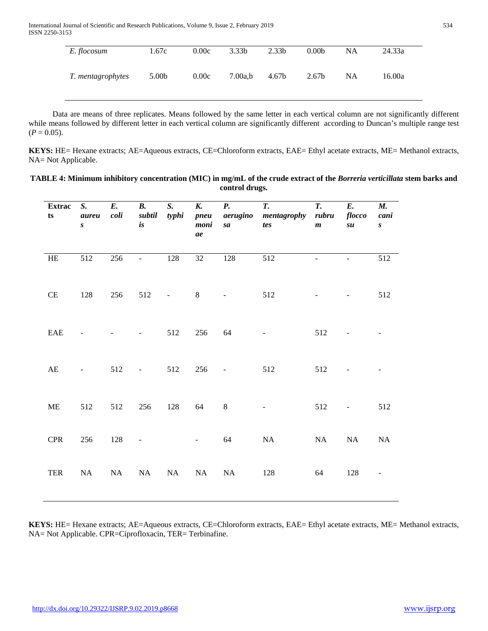| E. flocosum       | 1.67c             | 0.00c | 3.33 <sub>b</sub> | 2.33 <sub>b</sub> | 0.00 <sub>b</sub> | NA | 24.33a |
|-------------------|-------------------|-------|-------------------|-------------------|-------------------|----|--------|
| T. mentagrophytes | 5.00 <sub>b</sub> | 0.00c | 7.00a,b           | 4.67b             | 2.67b             | NA | 16.00a |

 Data are means of three replicates. Means followed by the same letter in each vertical column are not significantly different while means followed by different letter in each vertical column are significantly different according to Duncan's multiple range test  $(P = 0.05)$ .

**KEYS:** HE= Hexane extracts; AE=Aqueous extracts, CE=Chloroform extracts, EAE= Ethyl acetate extracts, ME= Methanol extracts, NA= Not Applicable.

| TABLE 4: Minimum inhibitory concentration (MIC) in mg/mL of the crude extract of the Borreria verticillata stem barks and |
|---------------------------------------------------------------------------------------------------------------------------|
| control drugs.                                                                                                            |

| <b>Extrac</b><br>$\mathbf{ts}$ | S.<br>aureu<br>$\boldsymbol{S}$ | E.<br>coli | $\boldsymbol{B}$ .<br>subtil<br>is       | S.<br>typhi              | K.<br>pneu<br>moni<br>ae | <b>P.</b><br>aerugino<br>sa  | T.<br>mentagrophy<br>tes | $\overline{T}$ .<br>rubru<br>$\boldsymbol{m}$ | E.<br>flocco<br>su       | <b>M.</b><br>cani<br>$\pmb{S}^-$ |
|--------------------------------|---------------------------------|------------|------------------------------------------|--------------------------|--------------------------|------------------------------|--------------------------|-----------------------------------------------|--------------------------|----------------------------------|
| $\rm HE$                       | $\overline{5}12$                | 256        | $\frac{1}{2}$                            | 128                      | $32\,$                   | 128                          | 512                      |                                               |                          | 512                              |
| $\!$ $\!$                      | 128                             | 256        | 512                                      | $\overline{\phantom{a}}$ | $\,8\,$                  | $\qquad \qquad \blacksquare$ | 512                      |                                               | $\overline{\phantom{m}}$ | 512                              |
| EAE                            |                                 |            |                                          | 512                      | 256                      | 64                           |                          | 512                                           |                          |                                  |
| $\mathbf{A}\mathbf{E}$         | $\overline{\phantom{a}}$        | 512        | $\frac{1}{2} \left( \frac{1}{2} \right)$ | 512                      | 256                      | $\overline{\phantom{a}}$     | 512                      | 512                                           | -                        |                                  |
| $\rm ME$                       | 512                             | 512        | 256                                      | 128                      | 64                       | $\,8\,$                      | ÷,                       | 512                                           | $\overline{\phantom{a}}$ | 512                              |
| <b>CPR</b>                     | 256                             | 128        | $\Box$                                   |                          | $\overline{\phantom{a}}$ | 64                           | NA                       | NA                                            | NA                       | $\rm NA$                         |
| <b>TER</b>                     | NA                              | NA         | NA                                       | NA                       | NA                       | NA                           | 128                      | 64                                            | 128                      |                                  |

**KEYS:** HE= Hexane extracts; AE=Aqueous extracts, CE=Chloroform extracts, EAE= Ethyl acetate extracts, ME= Methanol extracts, NA= Not Applicable. CPR=Ciprofloxacin, TER= Terbinafine.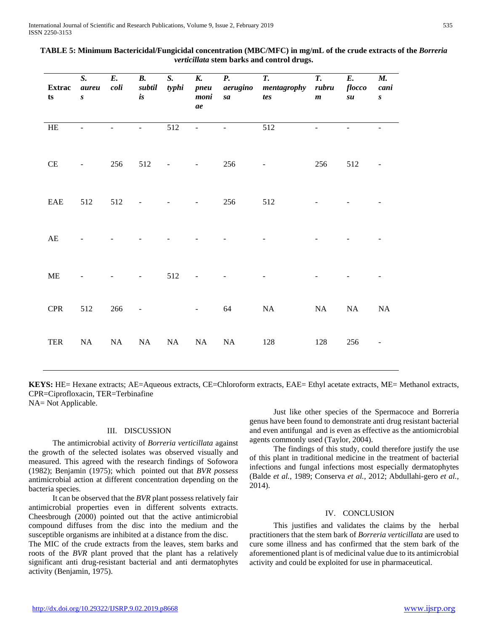| <b>Extrac</b><br>$\mathbf{ts}$ | $S_{\cdot}$<br>aureu<br>$\pmb{S}$ | E.<br>coli | $\boldsymbol{B}$ .<br>subtil<br>is | S.<br>typhi              | K.<br>pneu<br>moni<br>ae | <b>P.</b><br>aerugino<br>sa | T.<br>mentagrophy<br>tes | T.<br>rubru<br>$\boldsymbol{m}$ | E.<br>flocco<br>su | <b>M.</b><br>cani<br>$\pmb{S}$ |
|--------------------------------|-----------------------------------|------------|------------------------------------|--------------------------|--------------------------|-----------------------------|--------------------------|---------------------------------|--------------------|--------------------------------|
| $\rm HE$                       |                                   |            | ÷.                                 | 512                      | $\equiv$                 |                             | 512                      |                                 |                    |                                |
| $\!$ $\!$                      | $\overline{\phantom{a}}$          | 256        | 512                                | $\overline{\phantom{0}}$ | $\sim 100$               | 256                         | $\overline{\phantom{a}}$ | 256                             | 512                |                                |
| EAE                            | 512                               | 512        |                                    |                          | $\overline{\phantom{a}}$ | 256                         | 512                      |                                 |                    |                                |
| $\mathbf{A}\mathbf{E}$         |                                   |            |                                    |                          |                          |                             |                          |                                 |                    |                                |
| $\rm ME$                       |                                   |            |                                    | 512                      |                          |                             |                          |                                 |                    |                                |
| <b>CPR</b>                     | 512                               | 266        | Ξ                                  |                          | Ξ.                       | 64                          | NA                       | NA                              | NA                 | NA                             |
| TER                            | NA                                | $\rm NA$   | NA                                 | NA                       | NA                       | $\rm NA$                    | 128                      | 128                             | 256                |                                |

| TABLE 5: Minimum Bactericidal/Fungicidal concentration (MBC/MFC) in mg/mL of the crude extracts of the Borreria |
|-----------------------------------------------------------------------------------------------------------------|
| <i>verticillata</i> stem barks and control drugs.                                                               |

**KEYS:** HE= Hexane extracts; AE=Aqueous extracts, CE=Chloroform extracts, EAE= Ethyl acetate extracts, ME= Methanol extracts, CPR=Ciprofloxacin, TER=Terbinafine

NA= Not Applicable.

# III. DISCUSSION

 The antimicrobial activity of *Borreria verticillata* against the growth of the selected isolates was observed visually and measured. This agreed with the research findings of Sofowora (1982); Benjamin (1975); which pointed out that *BVR possess*  antimicrobial action at different concentration depending on the bacteria species.

 It can be observed that the *BVR* plant possess relatively fair antimicrobial properties even in different solvents extracts. Cheesbrough (2000) pointed out that the active antimicrobial compound diffuses from the disc into the medium and the susceptible organisms are inhibited at a distance from the disc.

The MIC of the crude extracts from the leaves, stem barks and roots of the *BVR* plant proved that the plant has a relatively significant anti drug-resistant bacterial and anti dermatophytes activity (Benjamin, 1975).

 Just like other species of the Spermacoce and Borreria genus have been found to demonstrate anti drug resistant bacterial and even antifungal and is even as effective as the antiomicrobial agents commonly used (Taylor, 2004).

 The findings of this study, could therefore justify the use of this plant in traditional medicine in the treatment of bacterial infections and fungal infections most especially dermatophytes (Balde *et al.,* 1989; Conserva *et al.,* 2012; Abdullahi-gero *et al.,*  2014).

# IV. CONCLUSION

 This justifies and validates the claims by the herbal practitioners that the stem bark of *Borreria verticillata* are used to cure some illness and has confirmed that the stem bark of the aforementioned plant is of medicinal value due to its antimicrobial activity and could be exploited for use in pharmaceutical.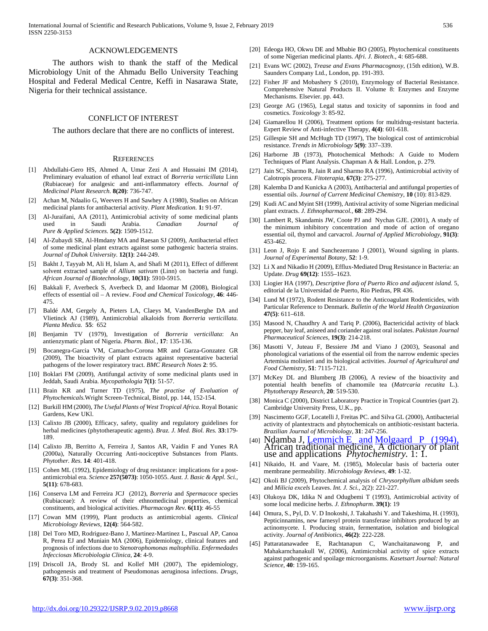#### ACKNOWLEDGEMENTS

 The authors wish to thank the staff of the Medical Microbiology Unit of the Ahmadu Bello University Teaching Hospital and Federal Medical Centre, Keffi in Nasarawa State, Nigeria for their technical assistance.

# CONFLICT OF INTEREST

The authors declare that there are no conflicts of interest.

#### **REFERENCES**

- [1] Abdullahi-Gero HS, Ahmed A, Umar Zezi A and Hussaini IM (2014), Preliminary evaluation of ethanol leaf extract of *Borreria verticillata* Linn (Rubiaceae) for analgesic and anti-inflammatory effects. *Journal of Medicinal Plant Research.* **8(20)**: 736-747.
- [2] Achan M, Ndaalio G, Weevers H and Sawhey A (1980), Studies on African medicinal plants for antibacterial activity. *Plant Medication.* **1:** 91-97.
- [3] Al-Juraifani, AA (2011), Antimicrobial activity of some medicinal plants used in Saudi Arabia. *Canadian Journal of Pure & Applied Sciences.* **5(2)**: 1509-1512.
- [4] Al-Zubaydi SR, Al-Hmdany MA and Raesan SJ (2009), Antibacterial effect of some medicinal plant extracts against some pathogenic bacteria strains. *Journal of Duhok University.* **12(1)**: 244-249.
- [5] Bakht J, Tayyab M, Ali H, Islam A, and Shafi M (2011), Effect of different solvent extracted sample of *Allium sativum* (Linn) on bacteria and fungi. *African Journal of Biotechnology,* **10(31)**: 5910-5915.
- [6] Bakkali F, Averbeck S, Averbeck D, and Idaomar M (2008), Biological effects of essential oil – A review. *Food and Chemical Toxicology,* **46**: 446- 475.
- [7] Baldé AM, Gergely A, Pieters LA, Claeys M, VandenBerghe DA and Vlietinck AJ (1989), Antimicrobial alkaloids from *Borreria verticillata. Planta Medica.* **55**: 652
- [8] Benjamin TV (1979), Investigation of *Borreria verticillata*: An antienzymatic plant of Nigeria. *Pharm. Biol.,* **17**: 135-136.
- [9] Bocanegra-Garcia VM, Camacho-Corona MR and Garza-Gonzatez GR (2009), The bioactivity of plant extracts against representative bacterial pathogens of the lower respiratory tract. *BMC Research Notes* **2**: 95.
- [10] Boklari FM (2009), Antifungal activity of some medicinal plants used in Jeddah, Saudi Arabia. *Mycopathologia* **7(1)**: 51-57.
- [11] Brain KR and Turner TD (1975), *The practise of Evaluation of Phytochemicals.*Wright Screen-Technical, Bistol, pp. 144, 152-154.
- [12] Burkill HM (2000), *The Useful Plants of West Tropical Africa.* Royal Botanic Gardens, Kew UKl.
- [13] Calixto JB (2000), Efficacy, safety, quality and regulatory guidelines for herbal medicines (phytotherapeutic agents). *Braz. J. Med. Biol. Res.* **33**:179- 189.
- [14] Calixto JB, Berritto A, Ferreira J, Santos AR, Vaidin F and Yunes RA (2000a), Naturally Occurring Anti-nociceptive Substances from Plants. *Phytother. Res.* **14**: 401-418.
- [15] Cohen ML (1992), Epidemiology of drug resistance: implications for a postantimicrobial era. *Science* **257(5073)**: 1050-1055. *Aust. J. Basic & Appl. Sci.,* **5(11)**: 678-683.
- [16] Conserva LM and Ferreira JCJ (2012), *Borreria* and *Spermacoce* species (Rubiaceae): A review of their ethnomedicinal properties, chemical constituents, and biological activities. *Pharmacogn Rev.* **6(11)**: 46-55
- [17] Cowan MM (1999), Plant products as antimicrobial agents. *Clinical Microbiology Reviews,* **12(4)**: 564-582.
- [18] Del Toro MD, Rodriguez-Bano J, Martinez-Martinez L, Pascual AP, Canoa R, Perea EJ and Muniain MA (2006), Epidemiology, clinical features and prognosis of infections due to *Stenotrophomonas maltophilia*. *Enfermedades Infecciosas Microbiologia Clinica,* **24**: 4-9.
- [19] Driscoll JA, Brody SL and Kollef MH (2007), The epidemiology, pathogenesis and treatment of Pseudomonas aeruginosa infections. *Drugs,*  **67(3)**: 351-368.
- [20] Edeoga HO, Okwu DE and Mbabie BO (2005), Phytochemical constituents of some Nigerian medicinal plants. *Afri. J. Biotech.,* 4: 685-688.
- [21] Evans WC (2002), *Trease and Evans Pharmacognosy*, (15th edition), W.B. Saunders Company Ltd., London, pp. 191-393.
- [22] Fisher JF and Mobashery S (2010), Enzymology of Bacterial Resistance. Comprehensive Natural Products II. Volume 8: Enzymes and Enzyme Mechanisms. Elsevier. pp. 443.
- [23] George AG (1965), Legal status and toxicity of saponnins in food and cosmetics. *Toxicology* 3: 85-92.
- [24] Giamarellou H (2006), Treatment options for multidrug-resistant bacteria. E*x*pert Review of Anti-infective Therapy, **4(4)**: 601-618.
- [25] Gillespie SH and McHugh TD (1997), The biological cost of antimicrobial resistance. *Trends in Microbiology* **5(9)**: 337–339.
- [26] Harborne JB (1973), Photochemical Methods: A Guide to Modern Techniques of Plant Analysis. Chapman A & Hall. London, p. 279.
- [27] Jain SC, Sharmo R, Jain R and Sharmo RA (1996), Antimicrobial activity of Calotropis procera. *Fitoterapia,* **67(3)**: 275-277.
- [28] Kalemba D and Kunicka A (2003), Antibacterial and antifungal properties of essential oils. *Journal of Current Medicinal Chemistry,* **10** (10): 813-829.
- [29] Kudi AC and Myint SH (1999), Antiviral activity of some Nigerian medicinal plant extracts. *J. Ethnopharmacol.,* **68**: 289-294.
- [30] Lambert R, Skandamis JW, Coote PJ and Nychas GJE. (2001), A study of the minimum inhibitory concentration and mode of action of oregano essential oil, thymol and carvacrol. *Journal of Applied Microbiology,* **91(3)**: 453-462.
- [31] Leon J, Rojo E and Sanchezerrano J (2001), Wound signling in plants. *Journal of Experimental Botany,* **52**: 1-9.
- [32] Li X and Nikadio H (2009), Efflux-Mediated Drug Resistance in Bacteria: an [Update.](http://www.ncbi.nlm.nih.gov/pmc/articles/PMC2847397) *Drug* **69(12)**: 1555–1623.
- [33] Liogier HA (1997), *Descriptive flora of Puerto Rico and adjacent island.* 5, editorial de la Universidad de Puerto, Rio Piedras, PR 436.
- [34] Lund M (1972), Rodent Resistance to the Anticoagulant Rodenticides, with [Particular Reference to Denmark.](http://www.ncbi.nlm.nih.gov/pmc/articles/PMC2480843) *Bulletin of the World Health Organization* **47(5)**: 611–618.
- [35] Masood N, Chaudhry A and Tariq P. (2006), Bactericidal activity of black pepper, bay leaf, aniseed and coriander against oral isolates. *Pakistan Journal Pharmaceutical Sciences,* **19(3)**: 214-218.
- [36] Masotti V, Juteau F, Bessiere JM and Viano J (2003), Seasonal and phonological variations of the essential oil from the narrow endemic species Artemisia molinieri and its biological activities. *Journal of Agricultural and Food Chemistry,* **51**: 7115-7121.
- [37] McKey DL and Blumberg JB (2006), A review of the bioactivity and potential health benefits of chamomile tea (*Matrcaria recutita* L.). *Phytotherapy Research,* **20**: 519-530.
- [38] Monica C (2000), District Laboratory Practice in Tropical Countries (part 2). Cambridge University Press, U.K., pp.
- [39] Nascimento GGF, Locatelli J, Freitas PC. and Silva GL (2000), Antibacterial activity of plantextracts and phytochemicals on antibiotic-resistant bacteria. *Brazilian Journal of Microbiology*, **31**: 247-256.
- [40] Ndamba J, Lemmich E and Molgaard <sup>P</sup> [\(1994\), African traditional medicine. A dictionary of plant](https://www.researchgate.net/publication/289841158_African_traditional_medicine_A_dictionary_of_plant_use_and_applications?ev=auth_pub)  [use and applications](https://www.researchgate.net/publication/289841158_African_traditional_medicine_A_dictionary_of_plant_use_and_applications?ev=auth_pub) *Phytochemistry.* 1: 1.
- [41] Nikaido, H. and Vaare, M. (1985), Molecular basis of bacteria outer membrane permeability. *Microbiology Reviews,* **49**: 1-32.
- [42] Okoli BJ (2009), Phytochemical analysis of *Chrysorphyllum albidum* seeds and *Milicia excels* Leaves. *Int. J. Sci.,* 2(2): 221-227.
- [43] Olukoya DK, Idika N and Odugbemi T (1993), Antimicrobial activity of some local medicine herbs. *J. Ethnopharm*. **39(1)**: 19
- [44] Omura, S., Pyl, D. V. D Inokoshi, J. Takahashi Y. and Takeshima, H. (1993), Pepticinnamins, new farnesyl protein transferase inhibitors produced by an actinomycete. I. Producing strain, fermentation, isolation and biological activity. *Journal of Antibiotics,* **46(2)**: 222-228.
- [45] Pattaratanawadee E, Rachtanapun C, Wanchaitanawong P, and Mahakarnchanakull W, (2006), Antimicrobial activity of spice extracts against pathogenic and spoilage microorganisms. *Kasetsart Journal: Natural Science,* **40**: 159-165.